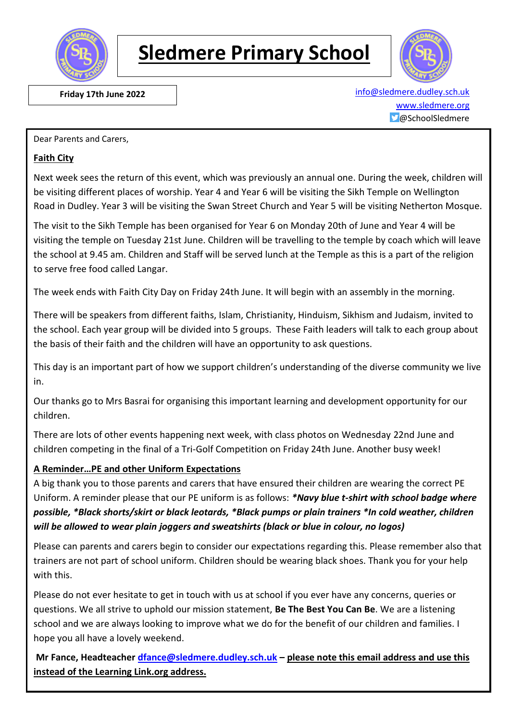

# **Sledmere Primary School**



 **Friday 17th June 2022** [info@sledmere.dudley.sch.uk](mailto:info@sledmere.dudley.sch.uk) [www.sledmere.org](http://www.sledmere.org/) @SchoolSledmere

#### Dear Parents and Carers,

### **Faith City**

Next week sees the return of this event, which was previously an annual one. During the week, children will be visiting different places of worship. Year 4 and Year 6 will be visiting the Sikh Temple on Wellington Road in Dudley. Year 3 will be visiting the Swan Street Church and Year 5 will be visiting Netherton Mosque.

The visit to the Sikh Temple has been organised for Year 6 on Monday 20th of June and Year 4 will be visiting the temple on Tuesday 21st June. Children will be travelling to the temple by coach which will leave the school at 9.45 am. Children and Staff will be served lunch at the Temple as this is a part of the religion to serve free food called Langar.

The week ends with Faith City Day on Friday 24th June. It will begin with an assembly in the morning.

There will be speakers from different faiths, Islam, Christianity, Hinduism, Sikhism and Judaism, invited to the school. Each year group will be divided into 5 groups. These Faith leaders will talk to each group about the basis of their faith and the children will have an opportunity to ask questions.

This day is an important part of how we support children's understanding of the diverse community we live in.

Our thanks go to Mrs Basrai for organising this important learning and development opportunity for our children.

There are lots of other events happening next week, with class photos on Wednesday 22nd June and children competing in the final of a Tri-Golf Competition on Friday 24th June. Another busy week!

### **A Reminder…PE and other Uniform Expectations**

A big thank you to those parents and carers that have ensured their children are wearing the correct PE Uniform. A reminder please that our PE uniform is as follows: *\*Navy blue t-shirt with school badge where possible, \*Black shorts/skirt or black leotards, \*Black pumps or plain trainers \*In cold weather, children will be allowed to wear plain joggers and sweatshirts (black or blue in colour, no logos)*

Please can parents and carers begin to consider our expectations regarding this. Please remember also that trainers are not part of school uniform. Children should be wearing black shoes. Thank you for your help with this.

Please do not ever hesitate to get in touch with us at school if you ever have any concerns, queries or questions. We all strive to uphold our mission statement, **Be The Best You Can Be**. We are a listening school and we are always looking to improve what we do for the benefit of our children and families. I hope you all have a lovely weekend.

**Mr Fance, Headteacher [dfance@sledmere.dudley.sch.uk](mailto:dfance@sledmere.dudley.sch.uk) – please note this email address and use this instead of the Learning Link.org address.**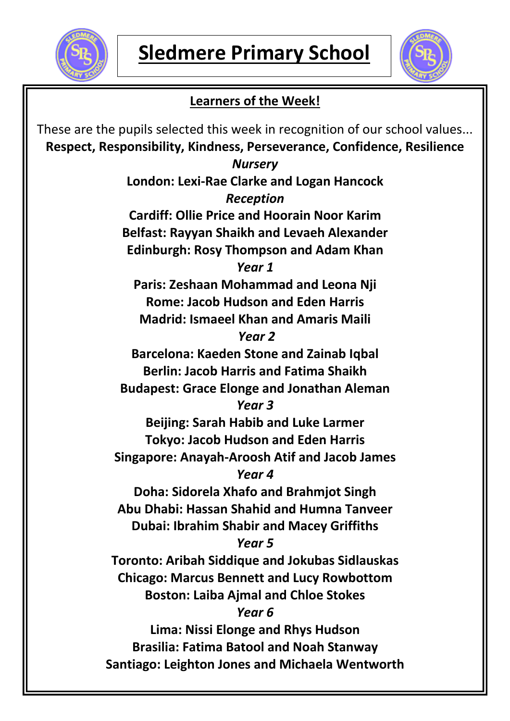



# **Learners of the Week!**

These are the pupils selected this week in recognition of our school values... **Respect, Responsibility, Kindness, Perseverance, Confidence, Resilience** *Nursery* **London: Lexi-Rae Clarke and Logan Hancock** *Reception* **Cardiff: Ollie Price and Hoorain Noor Karim Belfast: Rayyan Shaikh and Levaeh Alexander Edinburgh: Rosy Thompson and Adam Khan** *Year 1* **Paris: Zeshaan Mohammad and Leona Nji Rome: Jacob Hudson and Eden Harris Madrid: Ismaeel Khan and Amaris Maili** *Year 2* **Barcelona: Kaeden Stone and Zainab Iqbal Berlin: Jacob Harris and Fatima Shaikh Budapest: Grace Elonge and Jonathan Aleman** *Year 3* **Beijing: Sarah Habib and Luke Larmer Tokyo: Jacob Hudson and Eden Harris Singapore: Anayah-Aroosh Atif and Jacob James** *Year 4* **Doha: Sidorela Xhafo and Brahmjot Singh Abu Dhabi: Hassan Shahid and Humna Tanveer Dubai: Ibrahim Shabir and Macey Griffiths** *Year 5* **Toronto: Aribah Siddique and Jokubas Sidlauskas Chicago: Marcus Bennett and Lucy Rowbottom Boston: Laiba Ajmal and Chloe Stokes** *Year 6* **Lima: Nissi Elonge and Rhys Hudson Brasilia: Fatima Batool and Noah Stanway Santiago: Leighton Jones and Michaela Wentworth**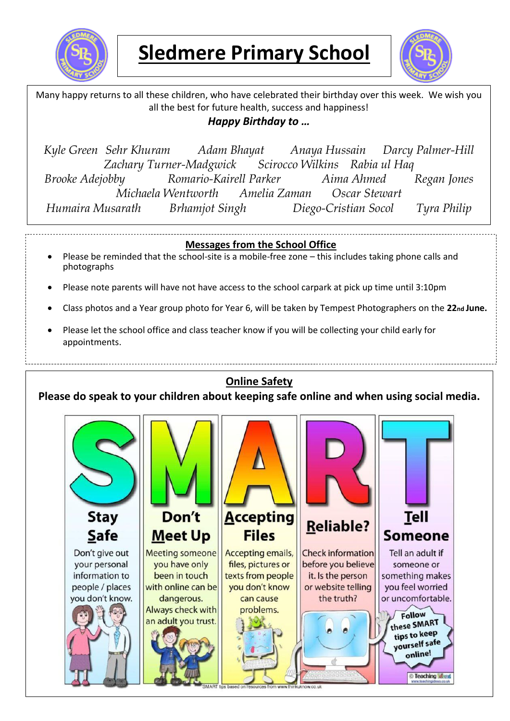

**Sledmere Primary School**



Many happy returns to all these children, who have celebrated their birthday over this week. We wish you all the best for future health, success and happiness! *Happy Birthday to …*

*Kyle Green Sehr Khuram Adam Bhayat Anaya Hussain Darcy Palmer-Hill Zachary Turner-Madgwick Scirocco Wilkins Rabia ul Haq Brooke Adejobby Romario-Kairell Parker Aima Ahmed Regan Jones Michaela Wentworth Amelia Zaman Oscar Stewart Humaira Musarath Brhamjot Singh Diego-Cristian Socol Tyra Philip*

## **Messages from the School Office**

- Please be reminded that the school-site is a mobile-free zone this includes taking phone calls and photographs
- Please note parents will have not have access to the school carpark at pick up time until 3:10pm
- Class photos and a Year group photo for Year 6, will be taken by Tempest Photographers on the **22nd June.**
- Please let the school office and class teacher know if you will be collecting your child early for appointments.